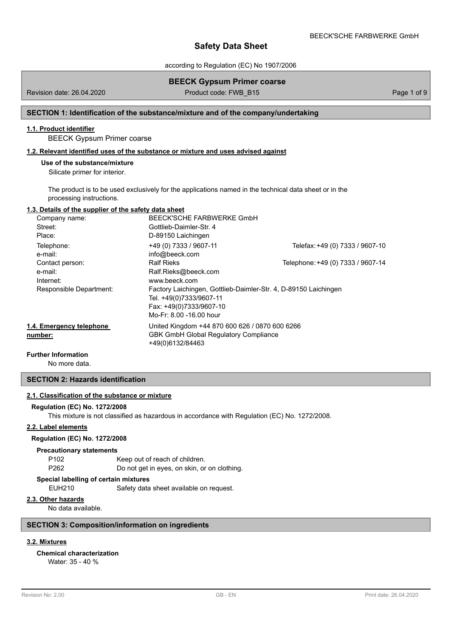according to Regulation (EC) No 1907/2006

# **BEECK Gypsum Primer coarse**

Revision date: 26.04.2020 **Product code: FWB\_B15** Page 1 of 9

# **SECTION 1: Identification of the substance/mixture and of the company/undertaking**

# **1.1. Product identifier**

BEECK Gypsum Primer coarse

# **1.2. Relevant identified uses of the substance or mixture and uses advised against**

# **Use of the substance/mixture**

Silicate primer for interior.

The product is to be used exclusively for the applications named in the technical data sheet or in the processing instructions.

# **1.3. Details of the supplier of the safety data sheet**

| Company name:            | BEECK'SCHE FARBWERKE GmbH                                       |                                   |
|--------------------------|-----------------------------------------------------------------|-----------------------------------|
| Street:                  | Gottlieb-Daimler-Str. 4                                         |                                   |
| Place:                   | D-89150 Laichingen                                              |                                   |
| Telephone:               | +49 (0) 7333 / 9607-11                                          | Telefax: +49 (0) 7333 / 9607-10   |
| e-mail:                  | info@beeck.com                                                  |                                   |
| Contact person:          | <b>Ralf Rieks</b>                                               | Telephone: +49 (0) 7333 / 9607-14 |
| e-mail:                  | Ralf.Rieks@beeck.com                                            |                                   |
| Internet:                | www.beeck.com                                                   |                                   |
| Responsible Department:  | Factory Laichingen, Gottlieb-Daimler-Str. 4, D-89150 Laichingen |                                   |
|                          | Tel. +49(0)7333/9607-11                                         |                                   |
|                          | Fax: +49(0)7333/9607-10                                         |                                   |
|                          | Mo-Fr: 8.00 -16.00 hour                                         |                                   |
| 1.4. Emergency telephone | United Kingdom +44 870 600 626 / 0870 600 6266                  |                                   |
| number:                  | <b>GBK GmbH Global Requlatory Compliance</b>                    |                                   |
|                          | +49(0)6132/84463                                                |                                   |

#### **Further Information**

No more data.

# **SECTION 2: Hazards identification**

### **2.1. Classification of the substance or mixture**

#### **Regulation (EC) No. 1272/2008**

This mixture is not classified as hazardous in accordance with Regulation (EC) No. 1272/2008.

# **2.2. Label elements**

# **Regulation (EC) No. 1272/2008**

#### **Precautionary statements**

P102 Keep out of reach of children. P262 Do not get in eyes, on skin, or on clothing.

# **Special labelling of certain mixtures**

EUH210 Safety data sheet available on request.

# **2.3. Other hazards**

No data available.

# **SECTION 3: Composition/information on ingredients**

# **3.2. Mixtures**

# **Chemical characterization**

Water: 35 - 40 %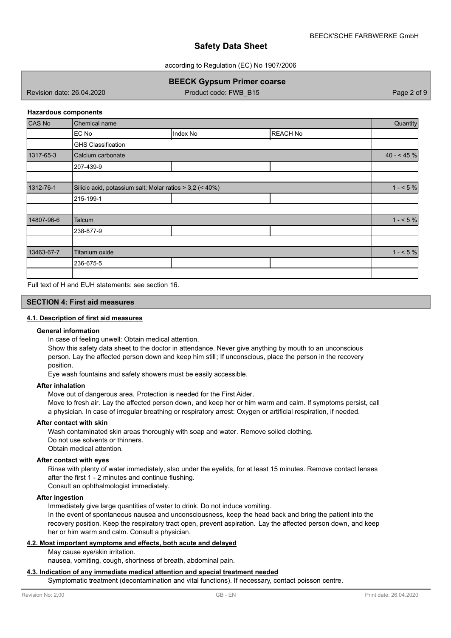according to Regulation (EC) No 1907/2006

**BEECK Gypsum Primer coarse**

Revision date: 26.04.2020 Product code: FWB\_B15 Page 2 of 9

### **Hazardous components**

| <b>CAS No</b> | Chemical name                                            |          |                 | Quantity   |
|---------------|----------------------------------------------------------|----------|-----------------|------------|
|               | EC No                                                    | Index No | <b>REACH No</b> |            |
|               | <b>GHS Classification</b>                                |          |                 |            |
| 1317-65-3     | Calcium carbonate                                        |          |                 | $40 - 45%$ |
|               | 207-439-9                                                |          |                 |            |
|               |                                                          |          |                 |            |
| 1312-76-1     | Silicic acid, potassium salt; Molar ratios > 3,2 (< 40%) |          |                 | $1 - 5%$   |
|               | 215-199-1                                                |          |                 |            |
|               |                                                          |          |                 |            |
| 14807-96-6    | Talcum                                                   |          |                 | $1 - 5%$   |
|               | 238-877-9                                                |          |                 |            |
|               |                                                          |          |                 |            |
| 13463-67-7    | Titanium oxide                                           |          |                 | $1 - 5\%$  |
|               | 236-675-5                                                |          |                 |            |
|               |                                                          |          |                 |            |

Full text of H and EUH statements: see section 16.

### **SECTION 4: First aid measures**

# **4.1. Description of first aid measures**

### **General information**

In case of feeling unwell: Obtain medical attention.

Show this safety data sheet to the doctor in attendance. Never give anything by mouth to an unconscious person. Lay the affected person down and keep him still; If unconscious, place the person in the recovery position.

Eye wash fountains and safety showers must be easily accessible.

### **After inhalation**

Move out of dangerous area. Protection is needed for the First Aider.

Move to fresh air. Lay the affected person down, and keep her or him warm and calm. If symptoms persist, call a physician. In case of irregular breathing or respiratory arrest: Oxygen or artificial respiration, if needed.

### **After contact with skin**

Wash contaminated skin areas thoroughly with soap and water. Remove soiled clothing. Do not use solvents or thinners. Obtain medical attention.

### **After contact with eyes**

Rinse with plenty of water immediately, also under the eyelids, for at least 15 minutes. Remove contact lenses after the first 1 - 2 minutes and continue flushing.

Consult an ophthalmologist immediately.

# **After ingestion**

Immediately give large quantities of water to drink. Do not induce vomiting.

In the event of spontaneous nausea and unconsciousness, keep the head back and bring the patient into the recovery position. Keep the respiratory tract open, prevent aspiration. Lay the affected person down, and keep her or him warm and calm. Consult a physician.

# **4.2. Most important symptoms and effects, both acute and delayed**

May cause eye/skin irritation.

nausea, vomiting, cough, shortness of breath, abdominal pain.

#### **4.3. Indication of any immediate medical attention and special treatment needed**

Symptomatic treatment (decontamination and vital functions). If necessary, contact poisson centre.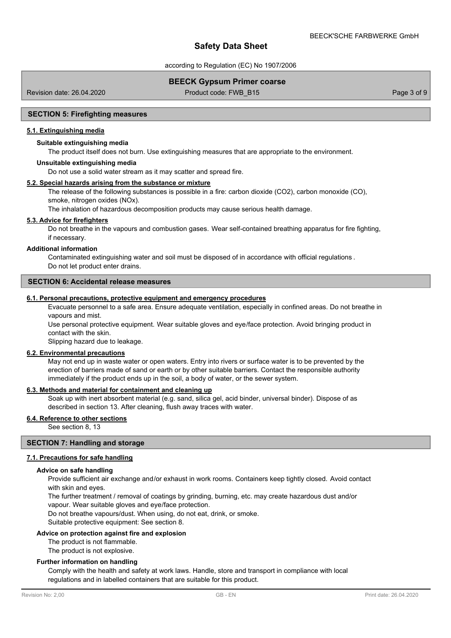according to Regulation (EC) No 1907/2006

# **BEECK Gypsum Primer coarse**

Revision date: 26.04.2020 **Product code: FWB\_B15** Page 3 of 9

### **SECTION 5: Firefighting measures**

### **5.1. Extinguishing media**

# **Suitable extinguishing media**

The product itself does not burn. Use extinguishing measures that are appropriate to the environment.

#### **Unsuitable extinguishing media**

Do not use a solid water stream as it may scatter and spread fire.

# **5.2. Special hazards arising from the substance or mixture**

The release of the following substances is possible in a fire: carbon dioxide (CO2), carbon monoxide (CO), smoke, nitrogen oxides (NOx).

The inhalation of hazardous decomposition products may cause serious health damage.

### **5.3. Advice for firefighters**

Do not breathe in the vapours and combustion gases. Wear self-contained breathing apparatus for fire fighting, if necessary.

#### **Additional information**

Contaminated extinguishing water and soil must be disposed of in accordance with official regulations . Do not let product enter drains.

### **SECTION 6: Accidental release measures**

# **6.1. Personal precautions, protective equipment and emergency procedures**

Evacuate personnel to a safe area. Ensure adequate ventilation, especially in confined areas. Do not breathe in vapours and mist.

Use personal protective equipment. Wear suitable gloves and eye/face protection. Avoid bringing product in contact with the skin.

Slipping hazard due to leakage.

### **6.2. Environmental precautions**

May not end up in waste water or open waters. Entry into rivers or surface water is to be prevented by the erection of barriers made of sand or earth or by other suitable barriers. Contact the responsible authority immediately if the product ends up in the soil, a body of water, or the sewer system.

# **6.3. Methods and material for containment and cleaning up**

Soak up with inert absorbent material (e.g. sand, silica gel, acid binder, universal binder). Dispose of as described in section 13. After cleaning, flush away traces with water.

# **6.4. Reference to other sections**

See section 8, 13

## **SECTION 7: Handling and storage**

### **7.1. Precautions for safe handling**

#### **Advice on safe handling**

Provide sufficient air exchange and/or exhaust in work rooms. Containers keep tightly closed. Avoid contact with skin and eyes.

The further treatment / removal of coatings by grinding, burning, etc. may create hazardous dust and/or

vapour. Wear suitable gloves and eye/face protection.

Do not breathe vapours/dust. When using, do not eat, drink, or smoke.

Suitable protective equipment: See section 8.

### **Advice on protection against fire and explosion**

The product is not flammable.

The product is not explosive.

### **Further information on handling**

Comply with the health and safety at work laws. Handle, store and transport in compliance with local regulations and in labelled containers that are suitable for this product.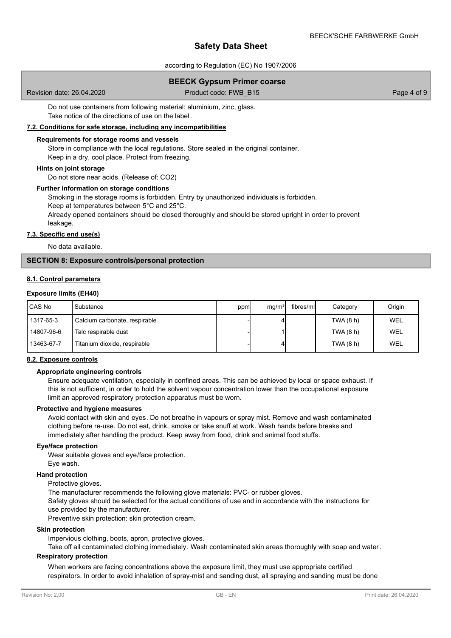according to Regulation (EC) No 1907/2006

# **BEECK Gypsum Primer coarse**

Revision date: 26.04.2020 **Product code: FWB\_B15** Page 4 of 9

Do not use containers from following material: aluminium, zinc, glass. Take notice of the directions of use on the label.

# **7.2. Conditions for safe storage, including any incompatibilities**

### **Requirements for storage rooms and vessels**

Store in compliance with the local regulations. Store sealed in the original container. Keep in a dry, cool place. Protect from freezing.

### **Hints on joint storage**

Do not store near acids. (Release of: CO2)

### **Further information on storage conditions**

Smoking in the storage rooms is forbidden. Entry by unauthorized individuals is forbidden. Keep at temperatures between 5°C and 25°C.

Already opened containers should be closed thoroughly and should be stored upright in order to prevent leakage.

# **7.3. Specific end use(s)**

No data available.

# **SECTION 8: Exposure controls/personal protection**

### **8.1. Control parameters**

#### **Exposure limits (EH40)**

| l CAS No   | Substance                     | ppm | mq/m <sup>3</sup> | fibres/mll | Category  | Origin |
|------------|-------------------------------|-----|-------------------|------------|-----------|--------|
| 1317-65-3  | Calcium carbonate, respirable |     |                   |            | TWA (8 h) | WEL    |
| 14807-96-6 | Talc respirable dust          |     |                   |            | TWA (8 h) | WEL    |
| 13463-67-7 | Titanium dioxide, respirable  |     |                   |            | TWA (8 h) | WEL    |

### **8.2. Exposure controls**

### **Appropriate engineering controls**

Ensure adequate ventilation, especially in confined areas. This can be achieved by local or space exhaust. If this is not sufficient, in order to hold the solvent vapour concentration lower than the occupational exposure limit an approved respiratory protection apparatus must be worn.

### **Protective and hygiene measures**

Avoid contact with skin and eyes. Do not breathe in vapours or spray mist. Remove and wash contaminated clothing before re-use. Do not eat, drink, smoke or take snuff at work. Wash hands before breaks and immediately after handling the product. Keep away from food, drink and animal food stuffs.

# **Eye/face protection**

Wear suitable gloves and eye/face protection.

Eye wash.

# **Hand protection**

Protective gloves.

The manufacturer recommends the following glove materials: PVC- or rubber gloves.

Safety gloves should be selected for the actual conditions of use and in accordance with the instructions for

use provided by the manufacturer.

Preventive skin protection: skin protection cream.

# **Skin protection**

Impervious clothing, boots, apron, protective gloves.

Take off all contaminated clothing immediately. Wash contaminated skin areas thoroughly with soap and water.

# **Respiratory protection**

When workers are facing concentrations above the exposure limit, they must use appropriate certified respirators. In order to avoid inhalation of spray-mist and sanding dust, all spraying and sanding must be done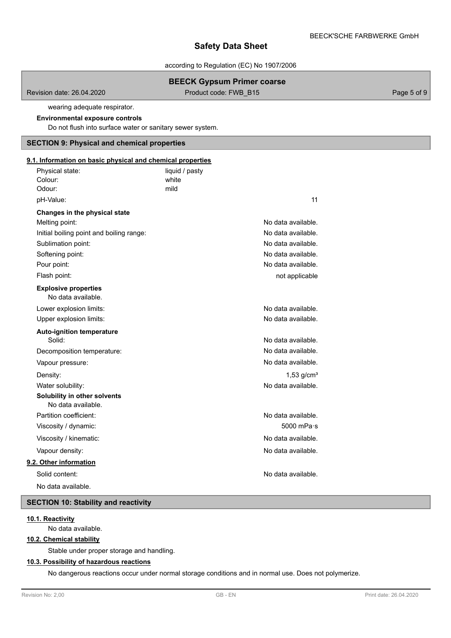according to Regulation (EC) No 1907/2006

# **BEECK Gypsum Primer coarse**

Revision date: 26.04.2020 **Product code: FWB\_B15** Page 5 of 9

wearing adequate respirator.

# **Environmental exposure controls**

Do not flush into surface water or sanitary sewer system.

# **SECTION 9: Physical and chemical properties**

# **9.1. Information on basic physical and chemical properties**

| Physical state:                                    | liquid / pasty |                          |
|----------------------------------------------------|----------------|--------------------------|
| Colour:                                            | white          |                          |
| Odour:                                             | mild           |                          |
| pH-Value:                                          |                | 11                       |
| Changes in the physical state                      |                |                          |
| Melting point:                                     |                | No data available.       |
| Initial boiling point and boiling range:           |                | No data available.       |
| Sublimation point:                                 |                | No data available.       |
| Softening point:                                   |                | No data available.       |
| Pour point:                                        |                | No data available.       |
| Flash point:                                       |                | not applicable           |
| <b>Explosive properties</b><br>No data available.  |                |                          |
| Lower explosion limits:                            |                | No data available.       |
| Upper explosion limits:                            |                | No data available.       |
| <b>Auto-ignition temperature</b>                   |                |                          |
| Solid:                                             |                | No data available.       |
| Decomposition temperature:                         |                | No data available.       |
| Vapour pressure:                                   |                | No data available.       |
| Density:                                           |                | $1,53$ g/cm <sup>3</sup> |
| Water solubility:                                  |                | No data available.       |
| Solubility in other solvents<br>No data available. |                |                          |
| Partition coefficient:                             |                | No data available.       |
| Viscosity / dynamic:                               |                | $5000$ mPa $\cdot$ s     |
| Viscosity / kinematic:                             |                | No data available.       |
| Vapour density:                                    |                | No data available.       |
| 9.2. Other information                             |                |                          |
| Solid content:                                     |                | No data available.       |
| No data available.                                 |                |                          |

# **SECTION 10: Stability and reactivity**

# **10.1. Reactivity**

No data available.

# **10.2. Chemical stability**

Stable under proper storage and handling.

# **10.3. Possibility of hazardous reactions**

No dangerous reactions occur under normal storage conditions and in normal use. Does not polymerize.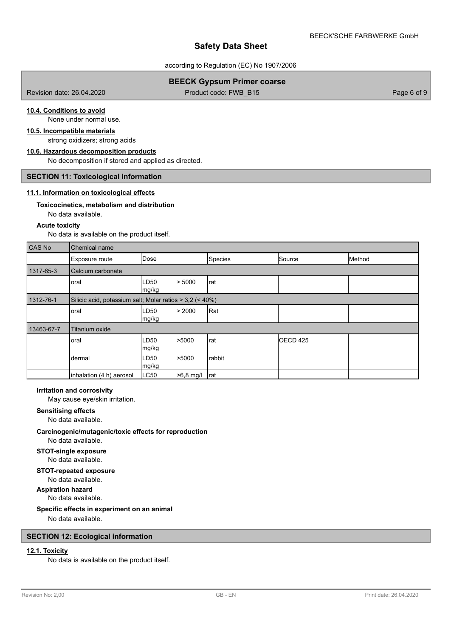according to Regulation (EC) No 1907/2006

# **BEECK Gypsum Primer coarse**

Revision date: 26.04.2020 **Product code: FWB\_B15** Page 6 of 9

# **10.4. Conditions to avoid**

None under normal use.

# **10.5. Incompatible materials**

strong oxidizers; strong acids **10.6. Hazardous decomposition products**

No decomposition if stored and applied as directed.

#### **SECTION 11: Toxicological information**

## **11.1. Information on toxicological effects**

# **Toxicocinetics, metabolism and distribution**

No data available.

# **Acute toxicity**

No data is available on the product itself.

| CAS No     | Chemical name            |                                                          |         |                     |        |  |  |
|------------|--------------------------|----------------------------------------------------------|---------|---------------------|--------|--|--|
|            | Exposure route           | Dose                                                     | Species | Source              | Method |  |  |
| 1317-65-3  | Calcium carbonate        |                                                          |         |                     |        |  |  |
|            | oral                     | LD50<br>> 5000<br>mg/kg                                  | rat     |                     |        |  |  |
| 1312-76-1  |                          | Silicic acid, potassium salt; Molar ratios > 3,2 (< 40%) |         |                     |        |  |  |
|            | oral                     | > 2000<br>LD50<br>mg/kg                                  | Rat     |                     |        |  |  |
| 13463-67-7 | <b>Titanium oxide</b>    |                                                          |         |                     |        |  |  |
|            | oral                     | LD <sub>50</sub><br>>5000<br>mg/kg                       | rat     | OECD <sub>425</sub> |        |  |  |
|            | dermal                   | LD <sub>50</sub><br>>5000<br>mg/kg                       | rabbit  |                     |        |  |  |
|            | inhalation (4 h) aerosol | LC50<br>$>6,8$ mg/l                                      | Irat    |                     |        |  |  |

#### **Irritation and corrosivity**

May cause eye/skin irritation.

# **Sensitising effects**

No data available.

# **Carcinogenic/mutagenic/toxic effects for reproduction**

No data available.

#### **STOT-single exposure** No data available.

**STOT-repeated exposure**

# No data available.

**Aspiration hazard**

# No data available.

# **Specific effects in experiment on an animal**

No data available.

# **SECTION 12: Ecological information**

# **12.1. Toxicity**

No data is available on the product itself.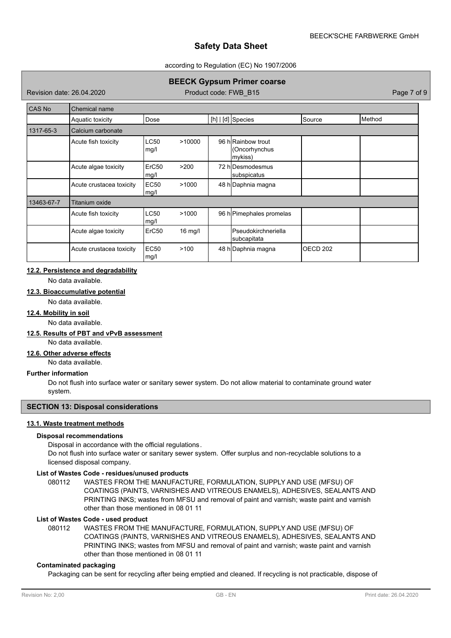### according to Regulation (EC) No 1907/2006

# **BEECK Gypsum Primer coarse**

Revision date: 26.04.2020 **Product code: FWB\_B15** Page 7 of 9

| <b>CAS No</b> | Chemical name            |                     |           |  |                                               |          |        |
|---------------|--------------------------|---------------------|-----------|--|-----------------------------------------------|----------|--------|
|               | Aquatic toxicity         | Dose                |           |  | $[h]   [d]$ Species                           | Source   | Method |
| 1317-65-3     | Calcium carbonate        |                     |           |  |                                               |          |        |
|               | Acute fish toxicity      | <b>LC50</b><br>mg/l | >10000    |  | 96 hRainbow trout<br>(Oncorhynchus<br>mykiss) |          |        |
|               | Acute algae toxicity     | ErC50<br>mg/l       | >200      |  | 72 hlDesmodesmus<br>subspicatus               |          |        |
|               | Acute crustacea toxicity | <b>EC50</b><br>mg/l | >1000     |  | 48 h Daphnia magna                            |          |        |
| 13463-67-7    | Titanium oxide           |                     |           |  |                                               |          |        |
|               | Acute fish toxicity      | <b>LC50</b><br>mg/l | >1000     |  | 96 h Pimephales promelas                      |          |        |
|               | Acute algae toxicity     | ErC <sub>50</sub>   | $16$ mg/l |  | <b>Pseudokirchneriella</b><br>subcapitata     |          |        |
|               | Acute crustacea toxicity | <b>EC50</b><br>mg/l | >100      |  | 48 h Daphnia magna                            | OECD 202 |        |

# **12.2. Persistence and degradability**

No data available.

# **12.3. Bioaccumulative potential**

No data available.

# **12.4. Mobility in soil**

No data available.

# **12.5. Results of PBT and vPvB assessment**

No data available.

#### **12.6. Other adverse effects**

No data available.

### **Further information**

Do not flush into surface water or sanitary sewer system. Do not allow material to contaminate ground water system.

### **SECTION 13: Disposal considerations**

# **13.1. Waste treatment methods**

### **Disposal recommendations**

Disposal in accordance with the official regulations.

Do not flush into surface water or sanitary sewer system. Offer surplus and non-recyclable solutions to a licensed disposal company.

# **List of Wastes Code - residues/unused products**

080112 WASTES FROM THE MANUFACTURE, FORMULATION, SUPPLY AND USE (MFSU) OF COATINGS (PAINTS, VARNISHES AND VITREOUS ENAMELS), ADHESIVES, SEALANTS AND PRINTING INKS; wastes from MFSU and removal of paint and varnish; waste paint and varnish other than those mentioned in 08 01 11

# **List of Wastes Code - used product**

WASTES FROM THE MANUFACTURE, FORMULATION, SUPPLY AND USE (MFSU) OF COATINGS (PAINTS, VARNISHES AND VITREOUS ENAMELS), ADHESIVES, SEALANTS AND PRINTING INKS; wastes from MFSU and removal of paint and varnish; waste paint and varnish other than those mentioned in 08 01 11 080112

### **Contaminated packaging**

Packaging can be sent for recycling after being emptied and cleaned. If recycling is not practicable, dispose of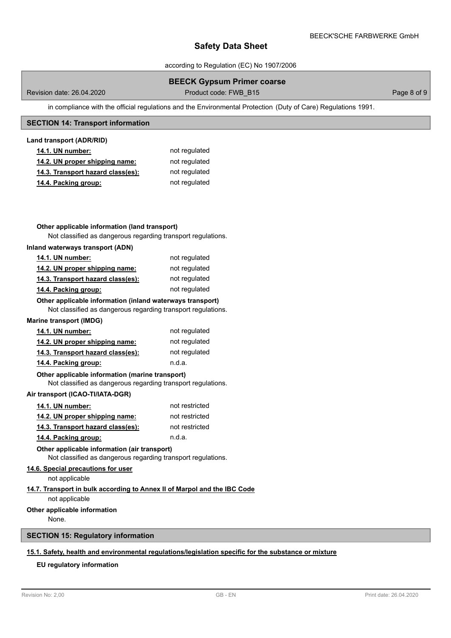according to Regulation (EC) No 1907/2006

# **BEECK Gypsum Primer coarse**

Revision date: 26.04.2020 **Product code: FWB\_B15** Page 8 of 9

in compliance with the official regulations and the Environmental Protection (Duty of Care) Regulations 1991.

# **SECTION 14: Transport information**

### **Land transport (ADR/RID)**

| <b>14.1. UN number:</b>           | not regulated |
|-----------------------------------|---------------|
| 14.2. UN proper shipping name:    | not regulated |
| 14.3. Transport hazard class(es): | not regulated |
| 14.4. Packing group:              | not regulated |

# **Other applicable information (land transport)**

Not classified as dangerous regarding transport regulations.

### **Inland waterways transport (ADN)**

| <b>14.1. UN number:</b>           | not regulated |
|-----------------------------------|---------------|
| 14.2. UN proper shipping name:    | not regulated |
| 14.3. Transport hazard class(es): | not regulated |
| 14.4. Packing group:              | not regulated |

# **Other applicable information (inland waterways transport)**

Not classified as dangerous regarding transport regulations.

#### **Marine transport (IMDG)**

| <b>14.1. UN number:</b>           | not regulated |
|-----------------------------------|---------------|
| 14.2. UN proper shipping name:    | not regulated |
| 14.3. Transport hazard class(es): | not regulated |
| 14.4. Packing group:              | n.d.a.        |

### Not classified as dangerous regarding transport regulations. **Other applicable information (marine transport)**

### **Air transport (ICAO-TI/IATA-DGR)**

| <b>14.1. UN number:</b>           | not restricted |
|-----------------------------------|----------------|
| 14.2. UN proper shipping name:    | not restricted |
| 14.3. Transport hazard class(es): | not restricted |
| 14.4. Packing group:              | n.d.a.         |

**Other applicable information (air transport)**

Not classified as dangerous regarding transport regulations.

# **14.6. Special precautions for user**

not applicable

# **14.7. Transport in bulk according to Annex II of Marpol and the IBC Code**

not applicable

### **Other applicable information**

None.

# **SECTION 15: Regulatory information**

# **15.1. Safety, health and environmental regulations/legislation specific for the substance or mixture**

# **EU regulatory information**